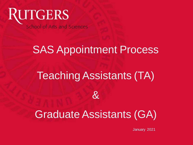

## **SAS Appointment Process**

## Teaching Assistants (TA)



## Graduate Assistants (GA)

January 2021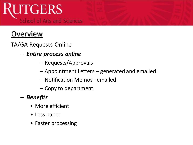### **Overview**

TA/GA Requests Online

- *Entire process online* 
	- Requests/Approvals
	- Appointment Letters generated and emailed
	- Notification Memos emailed
	- Copy to department
- *Benefits*
	- More efficient
	- Less paper
	- Faster processing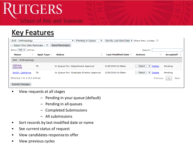#### Key Features

| SAS - Anthropology               |                  | <b>Pending In Queue</b><br>▼             | ▼ | Sort By Last Mod Date v Show Prev. Cycles: |                                  |          |           |
|----------------------------------|------------------|------------------------------------------|---|--------------------------------------------|----------------------------------|----------|-----------|
| -- Select Who Gets Reminder -- ▼ |                  | <b>Send Reminders</b>                    |   |                                            |                                  |          |           |
| Show $100 \times$ entries        |                  |                                          |   |                                            | Search:                          |          |           |
| Name<br>÷                        | <b>Appt Type</b> | Status                                   | ÷ | <b>Last Modified Date</b>                  | <b>Actions</b>                   | ÷        | Accepted? |
| SAS - Anthropology               |                  |                                          |   |                                            |                                  |          |           |
| Cabrera,<br>Gabrielle            | TA               | In Queue For: Department Approval        |   | 3/29/2019 8:38am                           | $-$ Select $ \mathbf{v}$         | Delete   | Pending   |
| Smith, Catherine                 | TΑ               | In Queue For: Graduate Director Approval |   | 3/29/2019 8:38am                           | $-$ Select $ \blacktriangledown$ | Delete   | Pending   |
| Showing 1 to 2 of 2 entries      |                  |                                          |   |                                            |                                  | Previous | Next      |
| <b>Submit Changes</b>            |                  |                                          |   |                                            |                                  |          |           |

- View requests at all stages
	- Pending in your queue (default)
	- Pending in all queues
	- Completed Submissions
	- All submissions
- Sort records by last modified date or name
- See current status of request
- View candidates response to offer
- View previous cycles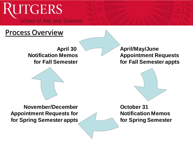### Process Overview

**April 30 Notification Memos for Fall Semester**



**November/December Appointment Requests for for Spring Semester appts**

**April/May/June Appointment Requests for Fall Semester appts**



**October 31 Notification Memos for Spring Semester**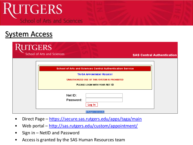### System Access

| <b><i>AUTGERS</i></b><br>School of Arts and Sciences                                                                                                                                                  | <b>SAS Central Authentication</b> |
|-------------------------------------------------------------------------------------------------------------------------------------------------------------------------------------------------------|-----------------------------------|
| <b>School of Arts and Sciences Central Authentication Service</b><br><b>TA/GA APPOINTMENT REQUEST</b><br><b>UNAUTHORIZED USE OF THIS SYSTEM IS PROHIBITED</b><br><b>PLEASE LOGIN WITH YOUR NET ID</b> |                                   |
| Net ID:<br>Password:<br>Log In                                                                                                                                                                        |                                   |
| <b>Rutgers University</b>                                                                                                                                                                             |                                   |

- Direct Page https://secure.sas.rutgers.edu/apps/taga/main
- Web portal http://sas.rutgers.edu/custom/appointment/
- Sign in NetID and Password
- Access is granted by the SAS Human Resources team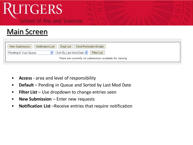### Main Screen

| Send Reminder Emails  <br>New Submission<br>Dept List<br>Notification List |
|----------------------------------------------------------------------------|
| Sort By Last Mod Date v<br>Filter List<br>Pending In Your Queue            |
| There are currently no submissions available for viewing                   |

- **Access** area and level of responsibility
- **Default** Pending in Queue and Sorted by Last Mod Date
- **Filter List** Use dropdown to change entries seen
- **New Submission**  Enter new requests
- **Notification List** –Receive entries that require notification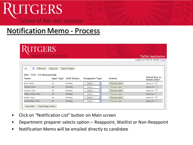## *<u>AUTGERS</u>* **School of Arts and Sciences**

### Notification Memo - Process

| <b>UTGERS</b><br>School of Arts and Sciences      |           |                        |                |                | <b>TA/GA Application</b>                |
|---------------------------------------------------|-----------|------------------------|----------------|----------------|-----------------------------------------|
|                                                   |           |                        |                |                | Logged in as Denise M. Stremlo / Logout |
| $\checkmark$<br>Filter List<br>All                | Dept List | Back To Main           |                |                |                                         |
|                                                   |           |                        |                |                |                                         |
| SAS - CCB - Ctr Biomaterials<br>Name              |           | Appt Type Notif Status | Reappoint Type | Actions        | Check Box to<br>Send Letter             |
| Ezra, Mindy                                       | <b>GA</b> | Pending                | -- Select --   | Preview Letter | Send Ltr? $\square$                     |
| Kilfoyle, Brian                                   | GA.       | Pending                | -- Select --   | Preview Letter | Send Ltr? $\square$                     |
|                                                   | <b>GA</b> | Pending                | -- Select --   | Preview Letter | Send Ltr? $\square$                     |
|                                                   | <b>GA</b> | Pending                | -- Select --   | Preview Letter | Send Ltr? $\square$                     |
| Lewitus, Dan<br>Magno, Maria Hans<br>Salahi, Sara | GA.       | Pending                | -- Select --   | Preview Letter | Send Ltr? $\square$                     |

- Click on "Notification List" button on Main screen
- Department preparer selects option Reappoint, Waitlist or Non-Reappoint
- Notification Memo will be emailed directly to candidate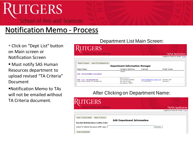### Notification Memo - Process

- Click on "Dept List" button on Main screen or Notification Screen
- Must notify SAS Human Resources department to upload revised "TA Criteria" Document
- ▪Notification Memo to TAs will not be emailed without TA Criteria document.

#### Department List Main Screen:

| <b>UTGERS</b><br>School of Arts and Sciences                                |                                                                                       |                                             | <b>TA/GA Application</b>                |
|-----------------------------------------------------------------------------|---------------------------------------------------------------------------------------|---------------------------------------------|-----------------------------------------|
|                                                                             |                                                                                       |                                             | Logged in as Denise M. Stremlo / Logout |
| <b>Back To Notification List</b><br>Back To Queue                           | <b>Department Information Manager</b>                                                 |                                             |                                         |
| Dept Name                                                                   | <b>Campus Address</b>                                                                 | Contact                                     | Chair Name                              |
| <b>SAS - African Studies Association</b>                                    | Campus                                                                                |                                             |                                         |
| <b>SAS - CCB - Ctr Biomaterials</b><br>(New Jersey Center for Biomaterials) | <b>Busch Campus</b><br>Life Sciences Building<br>145 Bevier Road<br>Piscataway, 08854 | maimone@biology.rutgers.edu<br>732-445-0488 | Joachim Kohn<br>(Director)              |

#### After Clicking on Department Name:

| <b>RUTGERS</b><br>School of Arts and Sciences |                                                                    |  |
|-----------------------------------------------|--------------------------------------------------------------------|--|
|                                               | <b>TA/GA Application</b><br>Logged in as Denise M. Stremlo / Logou |  |
|                                               |                                                                    |  |
| Back To Dept Listing<br>Back To Queue         |                                                                    |  |
|                                               | <b>Edit Department Information</b>                                 |  |
| TA/GA Notification Letter Info                |                                                                    |  |
| Upload TA Criteria Document (PDF only):       | Browse                                                             |  |
| Submit Dept Edits                             |                                                                    |  |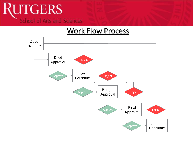#### Work Flow Process

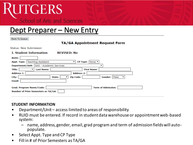#### Dept Preparer – New Entry

**Back To Queue** 

#### **TA/GA Appointment Request Form**

**Status: New Submission** 

#### **I. Student Information**

**REVISED: No** 

| <b>RUID:</b>                                                           |            |        |                   |                    |                           |  |
|------------------------------------------------------------------------|------------|--------|-------------------|--------------------|---------------------------|--|
| Appt. Type:   Teaching Assistant                                       |            |        |                   | CP Type: None ▼    |                           |  |
| Department/Unit:   SAS - Academic Services                             |            |        |                   |                    |                           |  |
| Title:                                                                 | Last Name: |        |                   | <b>First Name:</b> |                           |  |
| <b>Address 1:</b>                                                      |            |        | <b>Address 2:</b> |                    |                           |  |
| City:                                                                  |            | State: | <b>Zip Code:</b>  |                    | Gender: Male              |  |
| Email:                                                                 |            |        |                   |                    |                           |  |
| Grad. Program Name/Code:<br><b>Number of Prior Semesters as TA/GA:</b> |            |        |                   |                    | <b>Term of Admission:</b> |  |

#### **STUDENT INFORMATION**

- Department/Unit access limited to areas of responsibility
- RUID must be entered. If record in student data warehouse or appointment web-based system:
	- name, address, gender, email, grad program and term of admission fields will autopopulate.
- Select Appt. Type and CP Type
- Fill in # of Prior Semesters as TA/GA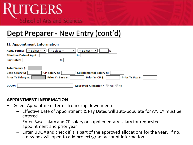### Dept Preparer - New Entry (cont'd)

#### **II. Appointment Information**

| $-$ Select $ \cdot$<br>-- Select --<br>$-$ Select $ \mathbf{v}$<br><b>Appt. Terms:</b><br>‰                                                                                                           |
|-------------------------------------------------------------------------------------------------------------------------------------------------------------------------------------------------------|
| <b>Effective Date of Appt.:</b><br>to                                                                                                                                                                 |
| <b>Pay Dates:</b><br>to                                                                                                                                                                               |
| <b>Total Salary \$:</b><br><b>Base Salary \$:</b><br>CP Salary \$:<br><b>Supplemental Salary \$:</b><br>Prior Yr CP \$:<br><b>Prior Yr Salary \$:</b><br>Prior Yr Sup \$:<br><b>Prior Yr Base \$:</b> |
| <b>Approved Allocation?</b> $\bigcirc$ Yes $\bigcirc$ No<br>UDO#:                                                                                                                                     |

#### **APPOINTMENT INFORMATION**

- Select Appointment Terms from drop down menu
	- Effective Date of Appointment & Pay Dates will auto-populate for AY, CY must be entered
	- Enter Base salary and CP salary or supplementary salary for requested appointment and prior year
	- Enter UDO# and check if it is part of the approved allocations for the year. If no, a new box will open to add project/grant account information.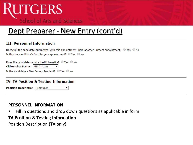### Dept Preparer - New Entry (cont'd)

#### **III. Personnel Information**

| Does/will the candidate currently (with this appointment) hold another Rutgers appointment? $\bigcirc$ Yes $\bigcirc$ No |  |
|--------------------------------------------------------------------------------------------------------------------------|--|
| Is this the candidate's first Rutgers appointment? $\bigcirc$ Yes $\bigcirc$ No                                          |  |

| Does the candidate require health benefits? $\bigcirc$ Yes $\bigcirc$ No |  |  |
|--------------------------------------------------------------------------|--|--|
| Citizenship Status: US Citizen v                                         |  |  |
| Is the candidate a New Jersey Resident? $\bigcirc$ Yes $\bigcirc$ No     |  |  |

#### **IV. TA Position & Testing Information**

Position Description: Lecturer

#### **PERSONNEL INFORMATION**

Fill in questions and drop down questions as applicable in form

#### **TA Position & Testing Information**

Position Description (TA only)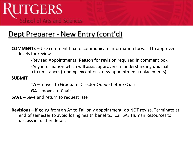## Dept Preparer - New Entry (cont'd)

**COMMENTS** – Use comment box to communicate information forward to approver levels for review

-Revised Appointments: Reason for revision required in comment box

-Any information which will assist approvers in understanding unusual circumstances (funding exceptions, new appointment replacements)

**SUBMIT** 

**TA** – moves to Graduate Director Queue before Chair

**GA** – moves to Chair

**SAVE** – Save and return to request later

**Revisions –** If going from an AY to Fall only appointment, do NOT revise. Terminate at end of semester to avoid losing health benefits. Call SAS Human Resources to discuss in further detail.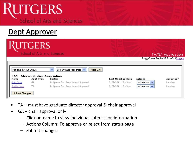### Dept Approver

|                                      | UTGERS<br>School of Arts and Sciences      |                                                                        |                                        |                                          | TA/GA Application                        |
|--------------------------------------|--------------------------------------------|------------------------------------------------------------------------|----------------------------------------|------------------------------------------|------------------------------------------|
|                                      |                                            |                                                                        |                                        |                                          | Logged in as Denise M. Stremlo / Logout. |
| Pending In Your Queue<br>SAS<br>Name | - African Studies Association<br>Appt Type | ×<br>Sort By Last Mod Date V<br>Filter List<br>Status                  | <b>Last Modified Date</b>              | Actions                                  | Accepted?                                |
| doe, Jane<br>Smith, John             | GA<br>TA                                   | In Queue For: Department Approval<br>In Queue For: Department Approval | 2/22/2011 12:45pm<br>2/22/2011 12:43pm | $-$ Select $ \vee$<br>$-$ Select $ \vee$ | Pending<br>Pending                       |

- TA must have graduate director approval & chair approval
- GA chair approval only
	- Click on name to view individual submission information
	- Actions Column: To approve or reject from status page
	- Submit changes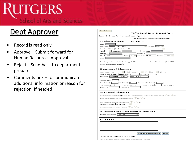### Dept Approver

- Record is read only.
- Approve Submit forward for Human Resources Approval
- Reject Send back to department preparer
- Comments box to communicate additional information or reason for rejection, if needed

| <b>Back To Queue</b>                                                                                                                                           |
|----------------------------------------------------------------------------------------------------------------------------------------------------------------|
| TA/GA Appointment Request Form                                                                                                                                 |
| Status: In Queue For: Graduate Director Approval                                                                                                               |
| All fields (except for comments) are read-only.                                                                                                                |
| <b>I. Student Information</b><br><b>REVISED:</b>                                                                                                               |
| RUID:                                                                                                                                                          |
| Appt. Type: Teaching Assistant<br>CP Type: None                                                                                                                |
| Department/Unit: SAS - Africana Studies<br>Title: Ms. V Last Name:<br><b>First Name:</b>                                                                       |
| Address 1: S<br>Address 2:                                                                                                                                     |
| City: Easton<br>Zip Code: 18046<br>State: PA<br>Gender: Female                                                                                                 |
| Email:                                                                                                                                                         |
| Grad. Program Name/Code: Sociology (920)<br>Term of Admission: Fall 2007                                                                                       |
| # Prior Semesters as TA/GA: 1                                                                                                                                  |
|                                                                                                                                                                |
| II. Appointment Information                                                                                                                                    |
| Appt. Terms: AY<br>Entire Year<br><b>Full Time</b><br>$100\,$ %                                                                                                |
| Effective Date of Appt.: August 25, 2010<br>to Commencement 2011<br>Pay Dates: September 1, 2010 to June 30, 2011                                              |
|                                                                                                                                                                |
| Total Salary \$: 3                                                                                                                                             |
| Base Salary \$: 1<br>$CP$ Salary \$: 1<br>Supplemental Salary \$: 1<br>Prior Yr Salary \$: 3<br>Prior Yr Base \$: 1<br>Prior Yr CP \$: 1<br>Prior Yr Sup \$: 1 |
| Account $x:$ 1<br>Position $x$ : 1                                                                                                                             |
|                                                                                                                                                                |
| <b>III. Personnel Information</b>                                                                                                                              |
| Does/will the candidate currently (with this appointment) hold another Rutgers appointment? $\bigcirc$ Yes $\circledast$ No                                    |
| Is this the candidate's first Rutgers appointment? $\circledcirc$ Yes $\circledcirc$ No                                                                        |
| Does the candidate require health benefits? $@$ Yes $@$ No                                                                                                     |
| Citizenship Status: US Citizen                                                                                                                                 |
| Is the candidate a New Jersey Resident? $@$ Yes $@$ No                                                                                                         |
|                                                                                                                                                                |
| IV. Graduate School -- New Brunswick Information                                                                                                               |
| Position Description: Lecturer                                                                                                                                 |
| V. Comments                                                                                                                                                    |
|                                                                                                                                                                |
|                                                                                                                                                                |
|                                                                                                                                                                |
|                                                                                                                                                                |
| Submit for Dept Chair Approval<br>Reject                                                                                                                       |
| <b>Submission History &amp; Comments</b>                                                                                                                       |
| 2/23/2011 4:19pm: Approve by Dept AA by Trent E. Di Renna (tdirenna)                                                                                           |
|                                                                                                                                                                |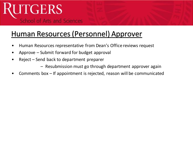## Human Resources (Personnel) Approver

- Human Resources representative from Dean's Office reviews request
- Approve Submit forward for budget approval
- Reject Send back to department preparer
	- Resubmission must go through department approver again
- Comments box If appointment is rejected, reason will be communicated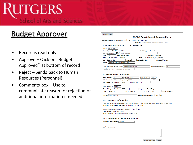### Budget Approver

- Record is read only
- Approve Click on "Budget Approved" at bottom of record
- Reject Sends back to Human Resources (Personnel)
- Comments box Use to communicate reason for rejection or additional information if needed

| <b>Back To Queue</b>                                                  |                                                                                                        |
|-----------------------------------------------------------------------|--------------------------------------------------------------------------------------------------------|
|                                                                       | <b>TA/GA Appointment Request Form</b>                                                                  |
|                                                                       | Status: Approved By: Personnel -- In Queue For: Business                                               |
|                                                                       | All fields (except for comments) are read-only.                                                        |
| <b>T. Student Information</b>                                         | <b>REVISED: No</b>                                                                                     |
|                                                                       |                                                                                                        |
| RUID: 181002980                                                       |                                                                                                        |
| Appt. Type: Teaching Assistant<br>Department/Unit: SAS - Anthropology | ▼ CP Type: None ▼                                                                                      |
| Title: Ms.                                                            | First Name: Gabrielle<br>V Last Name: Kelly                                                            |
| Address 1: Lot 2 King Christian                                       | Address 2: Extension, Kingspoint                                                                       |
| City: Ouezon City                                                     | Zip Code: 1116<br>Gender: Female v<br>State:<br>▼                                                      |
| Email: gabrielle.cabrera@rutgers.edu                                  |                                                                                                        |
|                                                                       |                                                                                                        |
|                                                                       | Grad. Program Name/Code: Anthropology (070)<br>Term of Admission: Fall 2017                            |
| Number of Prior Semesters as TA/GA: 3                                 |                                                                                                        |
|                                                                       |                                                                                                        |
| <b>II. Appointment Information</b>                                    |                                                                                                        |
| Appt. Terms: AY                                                       | V   Entire Year<br><b>Full Time</b><br>100<br>$\mathbf{v}$                                             |
| Effective Date of Appt.: August 25, 2019                              | to Commencement 2020                                                                                   |
| Pay Dates: September 1, 2019                                          | to June 30, 2020                                                                                       |
|                                                                       |                                                                                                        |
| <b>Total Salary \$: 25969</b>                                         |                                                                                                        |
| <b>Base Salary \$: 25969</b>                                          | <b>CP Salary \$:</b><br><b>Supplemental Salary \$:</b>                                                 |
| <b>Prior Yr Salary \$:</b>                                            | <b>Prior Yr Base \$:</b><br>Prior Yr CP \$:<br>Prior Yr Sup \$:                                        |
| UDO#: 45060155826                                                     | Approved Allocation? Yes ONo                                                                           |
|                                                                       |                                                                                                        |
| <b>III. Personnel Information</b>                                     |                                                                                                        |
|                                                                       | Does/will the candidate currently (with this appointment) hold another Rutgers appointment? O Yes @ No |
|                                                                       | Is this the candidate's first Rutgers appointment? O Yes O No                                          |
|                                                                       |                                                                                                        |
|                                                                       | Does the candidate require health benefits? O Yes O No<br>▼                                            |
| Citizenship Status: US Citizen                                        | Is the candidate a New Jersey Resident? • Yes O No                                                     |
|                                                                       |                                                                                                        |
|                                                                       | <b>IV. TA Position &amp; Testing Information</b>                                                       |
|                                                                       | ▼                                                                                                      |
| <b>Position Description: Lecturer</b>                                 |                                                                                                        |
| <b>V. Comments</b>                                                    |                                                                                                        |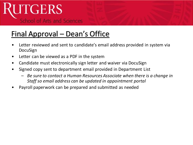## Final Approval – Dean's Office

- Letter reviewed and sent to candidate's email address provided in system via DocuSign
- Letter can be viewed as a PDF in the system
- Candidate must electronically sign letter and waiver via DocuSign
- Signed copy sent to department email provided in Department List
	- *Be sure to contact a Human Resources Associate when there is a change in Staff so email address can be updated in appointment portal*
- Payroll paperwork can be prepared and submitted as needed